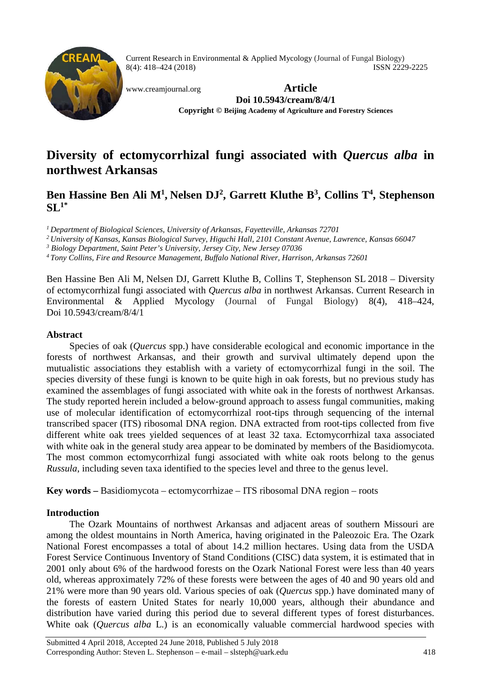

Current Research in Environmental & Applied Mycology (Journal of Fungal Biology) 8(4): 418–424 (2018) ISSN 2229-2225

[www.creamjournal.org](http://www.creamjournal.org/) **Article Doi 10.5943/cream/8/4/1 Copyright © Beijing Academy of Agriculture and Forestry Sciences**

# **Diversity of ectomycorrhizal fungi associated with** *Quercus alba* **in northwest Arkansas**

# Ben Hassine Ben Ali M<sup>1</sup>, Nelsen DJ<sup>2</sup>, Garrett Kluthe B<sup>3</sup>, Collins T<sup>4</sup>, Stephenson **SL1\***

*1 Department of Biological Sciences, University of Arkansas, Fayetteville, Arkansas 72701*

*2 University of Kansas, Kansas Biological Survey, Higuchi Hall, 2101 Constant Avenue, Lawrence, Kansas 66047*

*<sup>3</sup> Biology Department, Saint Peter's University, Jersey City, New Jersey 07036*

*4 Tony Collins, Fire and Resource Management, Buffalo National River, Harrison, Arkansas 72601*

Ben Hassine Ben Ali M, Nelsen DJ, Garrett Kluthe B, Collins T, Stephenson SL 2018 – Diversity of ectomycorrhizal fungi associated with *Quercus alba* in northwest Arkansas. Current Research in Environmental & Applied Mycology (Journal of Fungal Biology) 8(4), 418–424, Doi 10.5943/cream/8/4/1

# **Abstract**

Species of oak (*Quercus* spp.) have considerable ecological and economic importance in the forests of northwest Arkansas, and their growth and survival ultimately depend upon the mutualistic associations they establish with a variety of ectomycorrhizal fungi in the soil. The species diversity of these fungi is known to be quite high in oak forests, but no previous study has examined the assemblages of fungi associated with white oak in the forests of northwest Arkansas. The study reported herein included a below-ground approach to assess fungal communities, making use of molecular identification of ectomycorrhizal root-tips through sequencing of the internal transcribed spacer (ITS) ribosomal DNA region. DNA extracted from root-tips collected from five different white oak trees yielded sequences of at least 32 taxa. Ectomycorrhizal taxa associated with white oak in the general study area appear to be dominated by members of the Basidiomycota. The most common ectomycorrhizal fungi associated with white oak roots belong to the genus *Russula*, including seven taxa identified to the species level and three to the genus level.

**Key words –** Basidiomycota – ectomycorrhizae – ITS ribosomal DNA region – roots

# **Introduction**

The Ozark Mountains of northwest Arkansas and adjacent areas of southern Missouri are among the oldest mountains in North America, having originated in the Paleozoic Era. The Ozark National Forest encompasses a total of about 14.2 million hectares. Using data from the USDA Forest Service Continuous Inventory of Stand Conditions (CISC) data system, it is estimated that in 2001 only about 6% of the hardwood forests on the Ozark National Forest were less than 40 years old, whereas approximately 72% of these forests were between the ages of 40 and 90 years old and 21% were more than 90 years old. Various species of oak (*Quercus* spp.) have dominated many of the forests of eastern United States for nearly 10,000 years, although their abundance and distribution have varied during this period due to several different types of forest disturbances. White oak (*Quercus alba* L.) is an economically valuable commercial hardwood species with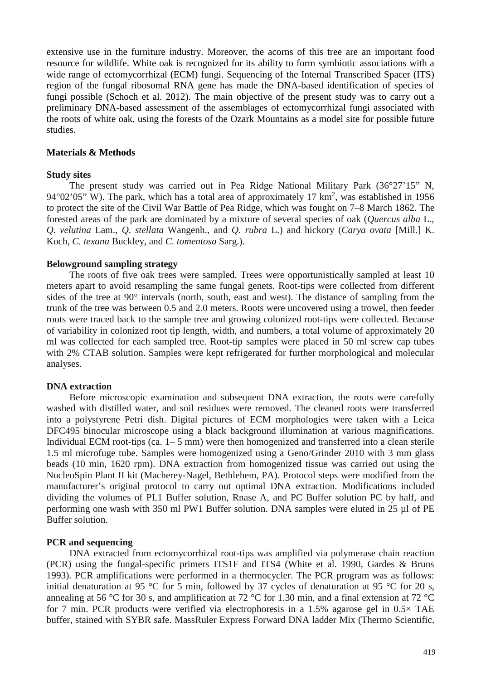extensive use in the furniture industry. Moreover, the acorns of this tree are an important food resource for wildlife. White oak is recognized for its ability to form symbiotic associations with a wide range of ectomycorrhizal (ECM) fungi. Sequencing of the Internal Transcribed Spacer (ITS) region of the fungal ribosomal RNA gene has made the DNA-based identification of species of fungi possible (Schoch et al. 2012). The main objective of the present study was to carry out a preliminary DNA-based assessment of the assemblages of ectomycorrhizal fungi associated with the roots of white oak, using the forests of the Ozark Mountains as a model site for possible future studies.

#### **Materials & Methods**

#### **Study sites**

The present study was carried out in Pea Ridge National Military Park (36°27'15" N, 94 $\degree$ 02'05" W). The park, which has a total area of approximately 17 km<sup>2</sup>, was established in 1956 to protect the site of the Civil War Battle of Pea Ridge, which was fought on 7–8 March 1862. The forested areas of the park are dominated by a mixture of several species of oak (*Quercus alba* L., *Q. velutina* Lam., *Q*. *stellata* Wangenh., and *Q. rubra* L.) and hickory (*Carya ovata* [Mill.] K. Koch, *C. texana* Buckley, and *C. tomentosa* Sarg.).

#### **Belowground sampling strategy**

The roots of five oak trees were sampled. Trees were opportunistically sampled at least 10 meters apart to avoid resampling the same fungal genets. Root-tips were collected from different sides of the tree at 90° intervals (north, south, east and west). The distance of sampling from the trunk of the tree was between 0.5 and 2.0 meters. Roots were uncovered using a trowel, then feeder roots were traced back to the sample tree and growing colonized root-tips were collected. Because of variability in colonized root tip length, width, and numbers, a total volume of approximately 20 ml was collected for each sampled tree. Root-tip samples were placed in 50 ml screw cap tubes with 2% CTAB solution. Samples were kept refrigerated for further morphological and molecular analyses.

#### **DNA extraction**

Before microscopic examination and subsequent DNA extraction, the roots were carefully washed with distilled water, and soil residues were removed. The cleaned roots were transferred into a polystyrene Petri dish. Digital pictures of ECM morphologies were taken with a Leica DFC495 binocular microscope using a black background illumination at various magnifications. Individual ECM root-tips (ca.  $1-5$  mm) were then homogenized and transferred into a clean sterile 1.5 ml microfuge tube. Samples were homogenized using a Geno/Grinder 2010 with 3 mm glass beads (10 min, 1620 rpm). DNA extraction from homogenized tissue was carried out using the NucleoSpin Plant II kit (Macherey-Nagel, Bethlehem, PA). Protocol steps were modified from the manufacturer's original protocol to carry out optimal DNA extraction. Modifications included dividing the volumes of PL1 Buffer solution, Rnase A, and PC Buffer solution PC by half, and performing one wash with 350 ml PW1 Buffer solution. DNA samples were eluted in 25 µl of PE Buffer solution.

#### **PCR and sequencing**

DNA extracted from ectomycorrhizal root-tips was amplified via polymerase chain reaction (PCR) using the fungal-specific primers ITS1F and ITS4 (White et al. 1990, Gardes & Bruns 1993). PCR amplifications were performed in a thermocycler. The PCR program was as follows: initial denaturation at 95 °C for 5 min, followed by 37 cycles of denaturation at 95 °C for 20 s, annealing at 56 °C for 30 s, and amplification at 72 °C for 1.30 min, and a final extension at 72 °C for 7 min. PCR products were verified via electrophoresis in a 1.5% agarose gel in 0.5× TAE buffer, stained with SYBR safe. MassRuler Express Forward DNA ladder Mix (Thermo Scientific,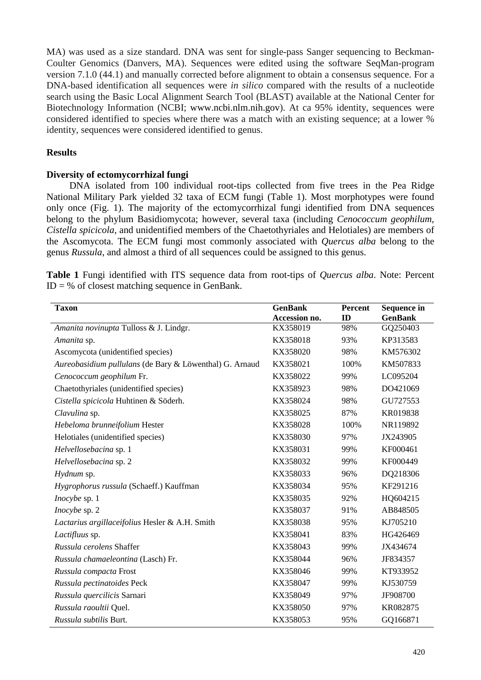MA) was used as a size standard. DNA was sent for single-pass Sanger sequencing to Beckman-Coulter Genomics (Danvers, MA). Sequences were edited using the software SeqMan-program version 7.1.0 (44.1) and manually corrected before alignment to obtain a consensus sequence. For a DNA-based identification all sequences were *in silico* compared with the results of a nucleotide search using the Basic Local Alignment Search Tool (BLAST) available at the National Center for Biotechnology Information (NCBI; [www.ncbi.nlm.nih.gov\)](http://www.ncbi.nlm.nih.gov/). At ca 95% identity, sequences were considered identified to species where there was a match with an existing sequence; at a lower % identity, sequences were considered identified to genus.

## **Results**

## **Diversity of ectomycorrhizal fungi**

DNA isolated from 100 individual root-tips collected from five trees in the Pea Ridge National Military Park yielded 32 taxa of ECM fungi (Table 1). Most morphotypes were found only once (Fig. 1). The majority of the ectomycorrhizal fungi identified from DNA sequences belong to the phylum Basidiomycota; however, several taxa (including *Cenococcum geophilum, Cistella spicicola,* and unidentified members of the Chaetothyriales and Helotiales) are members of the Ascomycota. The ECM fungi most commonly associated with *Quercus alba* belong to the genus *Russula*, and almost a third of all sequences could be assigned to this genus.

|  | Table 1 Fungi identified with ITS sequence data from root-tips of Quercus alba. Note: Percent |  |  |  |  |  |  |
|--|-----------------------------------------------------------------------------------------------|--|--|--|--|--|--|
|  | $ID = %$ of closest matching sequence in GenBank.                                             |  |  |  |  |  |  |

| <b>Taxon</b>                                            | <b>GenBank</b><br>Accession no. | Percent<br>ID | <b>Sequence in</b><br><b>GenBank</b> |
|---------------------------------------------------------|---------------------------------|---------------|--------------------------------------|
| Amanita novinupta Tulloss & J. Lindgr.                  | KX358019                        | 98%           | GQ250403                             |
| Amanita sp.                                             | KX358018                        | 93%           | KP313583                             |
| Ascomycota (unidentified species)                       | KX358020                        | 98%           | KM576302                             |
| Aureobasidium pullulans (de Bary & Löwenthal) G. Arnaud | KX358021                        | 100%          | KM507833                             |
| Cenococcum geophilum Fr.                                | KX358022                        | 99%           | LC095204                             |
| Chaetothyriales (unidentified species)                  | KX358923                        | 98%           | DO421069                             |
| Cistella spicicola Huhtinen & Söderh.                   | KX358024                        | 98%           | GU727553                             |
| Clavulina sp.                                           | KX358025                        | 87%           | KR019838                             |
|                                                         | KX358028                        | 100%          | NR119892                             |
| Hebeloma brunneifolium Hester                           |                                 |               |                                      |
| Helotiales (unidentified species)                       | KX358030                        | 97%           | JX243905                             |
| Helvellosebacina sp. 1                                  | KX358031                        | 99%           | KF000461                             |
| Helvellosebacina sp. 2                                  | KX358032                        | 99%           | KF000449                             |
| Hydnum sp.                                              | KX358033                        | 96%           | DQ218306                             |
| Hygrophorus russula (Schaeff.) Kauffman                 | KX358034                        | 95%           | KF291216                             |
| <i>Inocybe</i> sp. 1                                    | KX358035                        | 92%           | HQ604215                             |
| Inocybe sp. 2                                           | KX358037                        | 91%           | AB848505                             |
| Lactarius argillaceifolius Hesler & A.H. Smith          | KX358038                        | 95%           | KJ705210                             |
| Lactifluus sp.                                          | KX358041                        | 83%           | HG426469                             |
| Russula cerolens Shaffer                                | KX358043                        | 99%           | JX434674                             |
| Russula chamaeleontina (Lasch) Fr.                      | KX358044                        | 96%           | JF834357                             |
| Russula compacta Frost                                  | KX358046                        | 99%           | KT933952                             |
| Russula pectinatoides Peck                              | KX358047                        | 99%           | KJ530759                             |
| Russula quercilicis Sarnari                             | KX358049                        | 97%           | JF908700                             |
| Russula raoultii Quel.                                  | KX358050                        | 97%           | KR082875                             |
| <i>Russula subtilis Burt.</i>                           | KX358053                        | 95%           | GQ166871                             |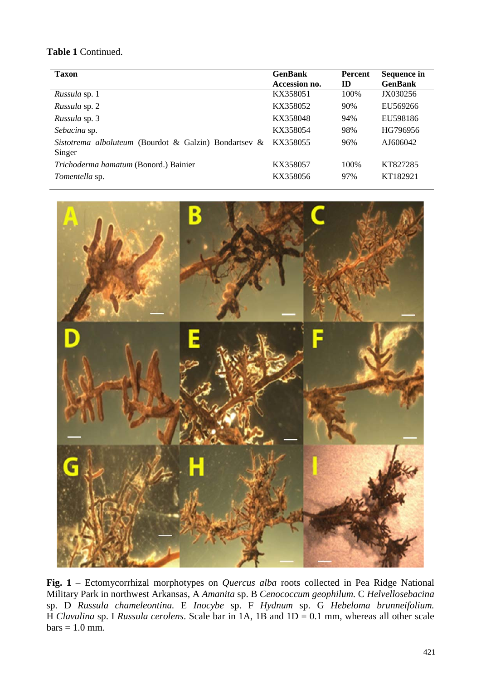# **Table 1** Continued.

| <b>Taxon</b>                                                    | <b>GenBank</b><br>Accession no. | <b>Percent</b><br>ID | Sequence in<br><b>GenBank</b> |
|-----------------------------------------------------------------|---------------------------------|----------------------|-------------------------------|
| Russula sp. 1                                                   | KX358051                        | 100%                 | JX030256                      |
| <i>Russula</i> sp. 2                                            | KX358052                        | 90%                  | EU569266                      |
| Russula sp. 3                                                   | KX358048                        | 94%                  | EU598186                      |
| Sebacina sp.                                                    | KX358054                        | 98%                  | HG796956                      |
| Sistotrema alboluteum (Bourdot & Galzin) Bondartsev &<br>Singer | KX358055                        | 96%                  | AJ606042                      |
| Trichoderma hamatum (Bonord.) Bainier                           | KX358057                        | 100\%                | KT827285                      |
| <i>Tomentella</i> sp.                                           | KX358056                        | 97%                  | KT182921                      |



**Fig. 1** – Ectomycorrhizal morphotypes on *Quercus alba* roots collected in Pea Ridge National Military Park in northwest Arkansas, A *Amanita* sp. B *Cenococcum geophilum.* C *Helvellosebacina*  sp. D *Russula chameleontina.* E *Inocybe* sp. F *Hydnum* sp. G *Hebeloma brunneifolium.* H *Clavulina* sp. I *Russula cerolens*. Scale bar in 1A, 1B and 1D = 0.1 mm, whereas all other scale  $bars = 1.0$  mm.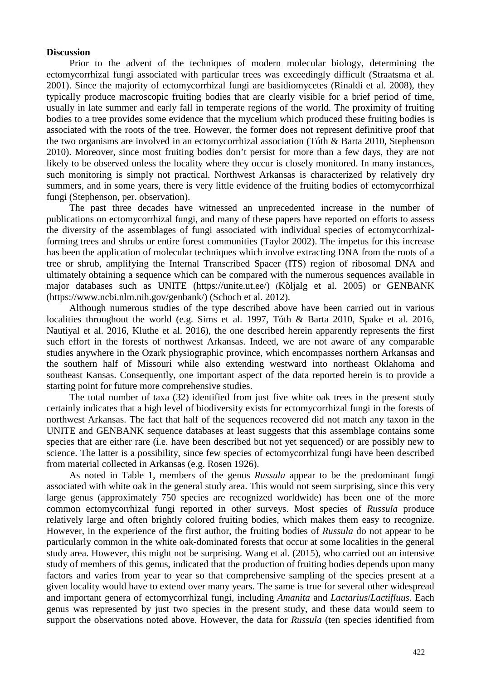#### **Discussion**

Prior to the advent of the techniques of modern molecular biology, determining the ectomycorrhizal fungi associated with particular trees was exceedingly difficult (Straatsma et al. 2001). Since the majority of ectomycorrhizal fungi are basidiomycetes (Rinaldi et al. 2008), they typically produce macroscopic fruiting bodies that are clearly visible for a brief period of time, usually in late summer and early fall in temperate regions of the world. The proximity of fruiting bodies to a tree provides some evidence that the mycelium which produced these fruiting bodies is associated with the roots of the tree. However, the former does not represent definitive proof that the two organisms are involved in an ectomycorrhizal association (Tóth & Barta 2010, Stephenson 2010). Moreover, since most fruiting bodies don't persist for more than a few days, they are not likely to be observed unless the locality where they occur is closely monitored. In many instances, such monitoring is simply not practical. Northwest Arkansas is characterized by relatively dry summers, and in some years, there is very little evidence of the fruiting bodies of ectomycorrhizal fungi (Stephenson, per. observation).

The past three decades have witnessed an unprecedented increase in the number of publications on ectomycorrhizal fungi, and many of these papers have reported on efforts to assess the diversity of the assemblages of fungi associated with individual species of ectomycorrhizalforming trees and shrubs or entire forest communities (Taylor 2002). The impetus for this increase has been the application of molecular techniques which involve extracting DNA from the roots of a tree or shrub, amplifying the Internal Transcribed Spacer (ITS) region of ribosomal DNA and ultimately obtaining a sequence which can be compared with the numerous sequences available in major databases such as UNITE [\(https://unite.ut.ee/\)](https://unite.ut.ee/) (Kõljalg et al. 2005) or GENBANK [\(https://www.ncbi.nlm.nih.gov/genbank/\)](https://www.ncbi.nlm.nih.gov/genbank/) (Schoch et al. 2012).

Although numerous studies of the type described above have been carried out in various localities throughout the world (e.g. Sims et al. 1997, Tóth & Barta 2010, Spake et al. 2016, Nautiyal et al. 2016, Kluthe et al. 2016), the one described herein apparently represents the first such effort in the forests of northwest Arkansas. Indeed, we are not aware of any comparable studies anywhere in the Ozark physiographic province, which encompasses northern Arkansas and the southern half of Missouri while also extending westward into northeast Oklahoma and southeast Kansas. Consequently, one important aspect of the data reported herein is to provide a starting point for future more comprehensive studies.

The total number of taxa (32) identified from just five white oak trees in the present study certainly indicates that a high level of biodiversity exists for ectomycorrhizal fungi in the forests of northwest Arkansas. The fact that half of the sequences recovered did not match any taxon in the UNITE and GENBANK sequence databases at least suggests that this assemblage contains some species that are either rare (i.e. have been described but not yet sequenced) or are possibly new to science. The latter is a possibility, since few species of ectomycorrhizal fungi have been described from material collected in Arkansas (e.g. Rosen 1926).

As noted in Table 1, members of the genus *Russula* appear to be the predominant fungi associated with white oak in the general study area. This would not seem surprising, since this very large genus (approximately 750 species are recognized worldwide) has been one of the more common ectomycorrhizal fungi reported in other surveys. Most species of *Russula* produce relatively large and often brightly colored fruiting bodies, which makes them easy to recognize. However, in the experience of the first author, the fruiting bodies of *Russula* do not appear to be particularly common in the white oak-dominated forests that occur at some localities in the general study area. However, this might not be surprising. Wang et al. (2015), who carried out an intensive study of members of this genus, indicated that the production of fruiting bodies depends upon many factors and varies from year to year so that comprehensive sampling of the species present at a given locality would have to extend over many years. The same is true for several other widespread and important genera of ectomycorrhizal fungi, including *Amanita* and *Lactarius*/*Lactifluus*. Each genus was represented by just two species in the present study, and these data would seem to support the observations noted above. However, the data for *Russula* (ten species identified from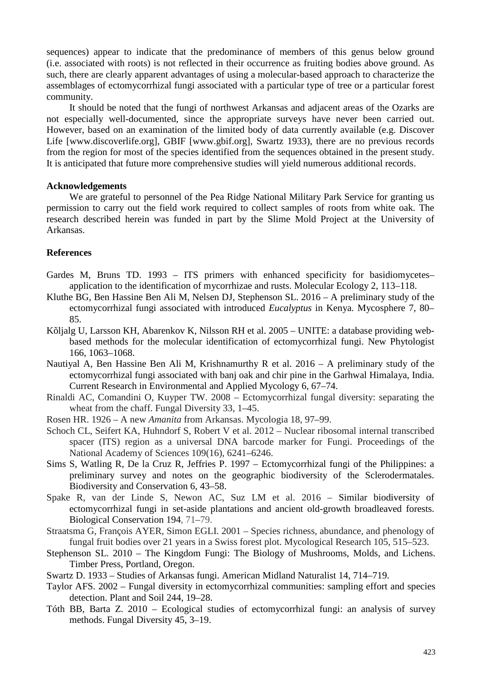sequences) appear to indicate that the predominance of members of this genus below ground (i.e. associated with roots) is not reflected in their occurrence as fruiting bodies above ground. As such, there are clearly apparent advantages of using a molecular-based approach to characterize the assemblages of ectomycorrhizal fungi associated with a particular type of tree or a particular forest community.

It should be noted that the fungi of northwest Arkansas and adjacent areas of the Ozarks are not especially well-documented, since the appropriate surveys have never been carried out. However, based on an examination of the limited body of data currently available (e.g. Discover Life [\[www.discoverlife.org\]](http://www.discoverlife.org/), GBIF [www.gbif.org], Swartz 1933), there are no previous records from the region for most of the species identified from the sequences obtained in the present study. It is anticipated that future more comprehensive studies will yield numerous additional records.

#### **Acknowledgements**

We are grateful to personnel of the Pea Ridge National Military Park Service for granting us permission to carry out the field work required to collect samples of roots from white oak. The research described herein was funded in part by the Slime Mold Project at the University of Arkansas.

#### **References**

- Gardes M, Bruns TD. 1993 ITS primers with enhanced specificity for basidiomycetes– application to the identification of mycorrhizae and rusts. Molecular Ecology 2, 113–118.
- Kluthe BG, Ben Hassine Ben Ali M, Nelsen DJ, Stephenson SL. 2016 A preliminary study of the ectomycorrhizal fungi associated with introduced *Eucalyptus* in Kenya. Mycosphere 7, 80– 85.
- [Kõljalg U,](https://www.ncbi.nlm.nih.gov/pubmed/?term=K%C3%B5ljalg%20U%5BAuthor%5D&cauthor=true&cauthor_uid=15869663) [Larsson KH,](https://www.ncbi.nlm.nih.gov/pubmed/?term=Larsson%20KH%5BAuthor%5D&cauthor=true&cauthor_uid=15869663) [Abarenkov K,](https://www.ncbi.nlm.nih.gov/pubmed/?term=Abarenkov%20K%5BAuthor%5D&cauthor=true&cauthor_uid=15869663) [Nilsson RH](https://www.ncbi.nlm.nih.gov/pubmed/?term=Nilsson%20RH%5BAuthor%5D&cauthor=true&cauthor_uid=15869663) et al. 2005 UNITE: a database providing webbased methods for the molecular identification of ectomycorrhizal fungi. New Phytologist 166, 1063–1068.
- Nautiyal A, Ben Hassine Ben Ali M, Krishnamurthy R et al. 2016 A preliminary study of the ectomycorrhizal fungi associated with banj oak and chir pine in the Garhwal Himalaya, India. Current Research in Environmental and Applied Mycology 6, 67–74.
- Rinaldi AC, Comandini O, Kuyper TW. 2008 Ectomycorrhizal fungal diversity: separating the wheat from the chaff. Fungal Diversity 33, 1–45.
- Rosen HR. 1926 A new *Amanita* from Arkansas. Mycologia 18, 97–99.
- Schoch CL, Seifert KA, Huhndorf S, Robert V et al. 2012 Nuclear ribosomal internal transcribed spacer (ITS) region as a universal DNA barcode marker for Fungi. Proceedings of the National Academy of Sciences 109(16), 6241–6246.
- Sims S, Watling R, De la Cruz R, Jeffries P. 1997 Ectomycorrhizal fungi of the Philippines: a preliminary survey and notes on the geographic biodiversity of the Sclerodermatales. Biodiversity and Conservation 6, 43–58.
- Spake R, van der Linde S, Newon AC, Suz LM et al. 2016 Similar biodiversity of ectomycorrhizal fungi in set-aside plantations and ancient old-growth broadleaved forests. [Biological Conservation](https://www.sciencedirect.com/science/journal/00063207) [194,](https://www.sciencedirect.com/science/journal/00063207/194/supp/C) 71–79.
- Straatsma G, François AYER, Simon EGLI. 2001 Species richness, abundance, and phenology of fungal fruit bodies over 21 years in a Swiss forest plot. Mycological Research 105, 515–523.
- Stephenson SL. 2010 The Kingdom Fungi: The Biology of Mushrooms, Molds, and Lichens. Timber Press, Portland, Oregon.
- Swartz D. 1933 Studies of Arkansas fungi. American Midland Naturalist 14, 714–719.
- Taylor AFS. 2002 Fungal diversity in ectomycorrhizal communities: sampling effort and species detection. Plant and Soil 244, 19–28.
- Tóth BB, Barta Z. 2010 Ecological studies of ectomycorrhizal fungi: an analysis of survey methods. Fungal Diversity 45, 3–19.